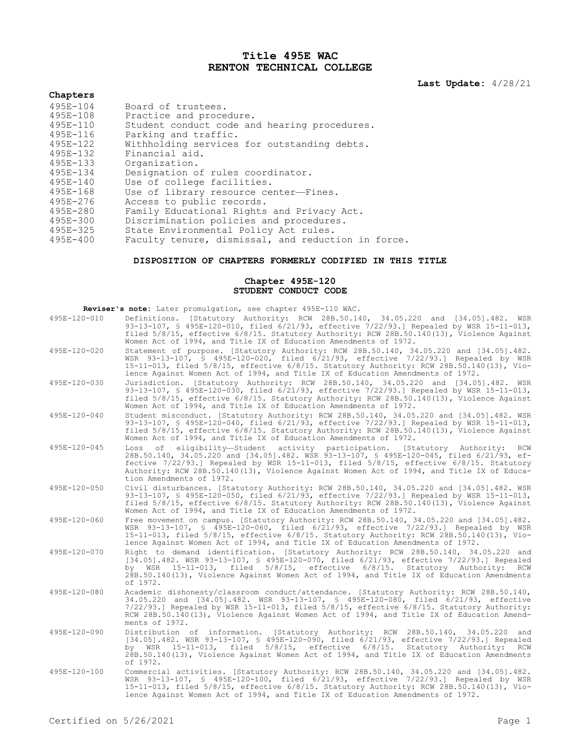## **Title 495E WAC RENTON TECHNICAL COLLEGE**

**Last Update:** 4/28/21

## **Chapters**

| Board of trustees.                                 |
|----------------------------------------------------|
| Practice and procedure.                            |
| Student conduct code and hearing procedures.       |
| Parking and traffic.                               |
| Withholding services for outstanding debts.        |
| Financial aid.                                     |
| Organization.                                      |
| Designation of rules coordinator.                  |
| Use of college facilities.                         |
| Use of library resource center-Fines.              |
| Access to public records.                          |
| Family Educational Rights and Privacy Act.         |
| Discrimination policies and procedures.            |
| State Environmental Policy Act rules.              |
| Faculty tenure, dismissal, and reduction in force. |
|                                                    |

## **DISPOSITION OF CHAPTERS FORMERLY CODIFIED IN THIS TITLE**

## **Chapter 495E-120 STUDENT CONDUCT CODE**

| Reviser's note: Later promulgation, see chapter 495E-110 WAC. |                                                                                                                                                                                                                                                                                                                                                                                                    |
|---------------------------------------------------------------|----------------------------------------------------------------------------------------------------------------------------------------------------------------------------------------------------------------------------------------------------------------------------------------------------------------------------------------------------------------------------------------------------|
| 495E-120-010                                                  | Definitions. [Statutory Authority: RCW 28B.50.140, 34.05.220 and [34.05].482. WSR<br>93-13-107, \$ 495E-120-010, filed 6/21/93, effective 7/22/93.] Repealed by WSR 15-11-013,<br>filed 5/8/15, effective 6/8/15. Statutory Authority: RCW 28B.50.140(13), Violence Against<br>Women Act of 1994, and Title IX of Education Amendments of 1972.                                                    |
| 495E-120-020                                                  | Statement of purpose. [Statutory Authority: RCW 28B.50.140, 34.05.220 and [34.05].482.<br>WSR 93-13-107, § 495E-120-020, filed 6/21/93, effective 7/22/93.1 Repealed by WSR<br>15-11-013, filed 5/8/15, effective 6/8/15. Statutory Authority: RCW 28B.50.140(13), Vio-<br>lence Against Women Act of 1994, and Title IX of Education Amendments of 1972.                                          |
| $495E - 120 - 030$                                            | Jurisdiction. [Statutory Authority: RCW 28B.50.140, 34.05.220 and [34.05].482. WSR<br>93-13-107, § 495E-120-030, filed 6/21/93, effective 7/22/93.] Repealed by WSR 15-11-013,<br>filed 5/8/15, effective 6/8/15. Statutory Authority: RCW 28B.50.140(13), Violence Against<br>Women Act of 1994, and Title IX of Education Amendments of 1972.                                                    |
| 495E-120-040                                                  | Student misconduct. [Statutory Authority: RCW 28B.50.140, 34.05.220 and [34.05].482. WSR<br>93-13-107, § 495E-120-040, filed 6/21/93, effective 7/22/93.] Repealed by WSR 15-11-013,<br>filed 5/8/15, effective 6/8/15. Statutory Authority: RCW 28B.50.140(13), Violence Against<br>Women Act of 1994, and Title IX of Education Amendments of 1972.                                              |
| 495E-120-045                                                  | of eligibility-Student activity participation. [Statutory Authority:<br>Loss<br>RCW<br>28B.50.140, 34.05.220 and [34.05].482. WSR 93-13-107, § 495E-120-045, filed 6/21/93, ef-<br>fective 7/22/93.] Repealed by WSR 15-11-013, filed 5/8/15, effective 6/8/15. Statutory<br>Authority: RCW 28B.50.140(13), Violence Against Women Act of 1994, and Title IX of Educa-<br>tion Amendments of 1972. |
| 495E-120-050                                                  | Civil disturbances. [Statutory Authority: RCW 28B.50.140, 34.05.220 and [34.05].482. WSR<br>93-13-107, § 495E-120-050, filed 6/21/93, effective 7/22/93.1 Repealed by WSR 15-11-013,<br>filed 5/8/15, effective 6/8/15. Statutory Authority: RCW 28B.50.140(13), Violence Against<br>Women Act of 1994, and Title IX of Education Amendments of 1972.                                              |
| 495E-120-060                                                  | Free movement on campus. [Statutory Authority: RCW 28B.50.140, 34.05.220 and [34.05].482.<br>WSR 93-13-107, § 495E-120-060, filed 6/21/93, effective 7/22/93.] Repealed by WSR<br>15-11-013, filed 5/8/15, effective 6/8/15. Statutory Authority: RCW 28B.50.140(13), Vio-<br>lence Against Women Act of 1994, and Title IX of Education Amendments of 1972.                                       |
| 495E-120-070                                                  | Right to demand identification. [Statutory Authority: RCW 28B.50.140, 34.05.220 and<br>[34.05].482. WSR 93-13-107, § 495E-120-070, filed 6/21/93, effective 7/22/93.] Repealed<br>by WSR 15-11-013, filed 5/8/15, effective 6/8/15. Statutory Authority:<br>RCW<br>28B.50.140(13), Violence Against Women Act of 1994, and Title IX of Education Amendments<br>of 1972.                            |
| 495E-120-080                                                  | Academic dishonesty/classroom conduct/attendance. [Statutory Authority: RCW 28B.50.140,<br>34.05.220 and [34.05].482. WSR 93-13-107, § 495E-120-080, filed 6/21/93, effective<br>$7/22/93$ .] Repealed by WSR 15-11-013, filed $5/8/15$ , effective $6/8/15$ . Statutory Authority:<br>RCW 28B.50.140(13), Violence Against Women Act of 1994, and Title IX of Education Amend-<br>ments of 1972.  |
| 495E-120-090                                                  | Distribution of information. [Statutory Authority: RCW 28B.50.140, 34.05.220 and<br>[34.05].482. WSR 93-13-107, § 495E-120-090, filed 6/21/93, effective 7/22/93.] Repealed<br>by WSR 15-11-013, filed 5/8/15, effective 6/8/15. Statutory Authority:<br>RCW<br>28B.50.140(13), Violence Against Women Act of 1994, and Title IX of Education Amendments<br>of 1972.                               |
| 495E-120-100                                                  | Commercial activities. [Statutory Authority: RCW 28B.50.140, 34.05.220 and [34.05].482.<br>WSR 93-13-107, § 495E-120-100, filed 6/21/93, effective 7/22/93.] Repealed by WSR<br>15-11-013, filed 5/8/15, effective 6/8/15. Statutory Authority: RCW 28B.50.140(13), Vio-<br>lence Against Women Act of 1994, and Title IX of Education Amendments of 1972.                                         |